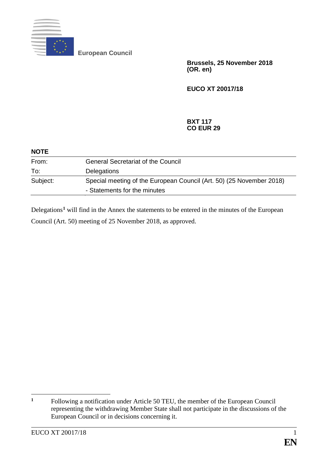

**European Council**

**Brussels, 25 November 2018 (OR. en)**

**EUCO XT 20017/18**

## **BXT 117 CO EUR 29**

| <b>NOTE</b> |                                                                                                      |
|-------------|------------------------------------------------------------------------------------------------------|
| From:       | <b>General Secretariat of the Council</b>                                                            |
| To:         | <b>Delegations</b>                                                                                   |
| Subject:    | Special meeting of the European Council (Art. 50) (25 November 2018)<br>- Statements for the minutes |

Delegations<sup>[1](#page-0-0)</sup> will find in the Annex the statements to be entered in the minutes of the European Council (Art. 50) meeting of 25 November 2018, as approved.

<span id="page-0-0"></span> $\mathbf{1}$ **<sup>1</sup>** Following a notification under Article 50 TEU, the member of the European Council representing the withdrawing Member State shall not participate in the discussions of the European Council or in decisions concerning it.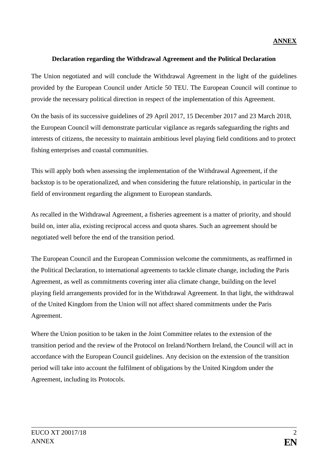## **Declaration regarding the Withdrawal Agreement and the Political Declaration**

The Union negotiated and will conclude the Withdrawal Agreement in the light of the guidelines provided by the European Council under Article 50 TEU. The European Council will continue to provide the necessary political direction in respect of the implementation of this Agreement.

On the basis of its successive guidelines of 29 April 2017, 15 December 2017 and 23 March 2018, the European Council will demonstrate particular vigilance as regards safeguarding the rights and interests of citizens, the necessity to maintain ambitious level playing field conditions and to protect fishing enterprises and coastal communities.

This will apply both when assessing the implementation of the Withdrawal Agreement, if the backstop is to be operationalized, and when considering the future relationship, in particular in the field of environment regarding the alignment to European standards.

As recalled in the Withdrawal Agreement, a fisheries agreement is a matter of priority, and should build on, inter alia, existing reciprocal access and quota shares. Such an agreement should be negotiated well before the end of the transition period.

The European Council and the European Commission welcome the commitments, as reaffirmed in the Political Declaration, to international agreements to tackle climate change, including the Paris Agreement, as well as commitments covering inter alia climate change, building on the level playing field arrangements provided for in the Withdrawal Agreement. In that light, the withdrawal of the United Kingdom from the Union will not affect shared commitments under the Paris Agreement.

Where the Union position to be taken in the Joint Committee relates to the extension of the transition period and the review of the Protocol on Ireland/Northern Ireland, the Council will act in accordance with the European Council guidelines. Any decision on the extension of the transition period will take into account the fulfilment of obligations by the United Kingdom under the Agreement, including its Protocols.